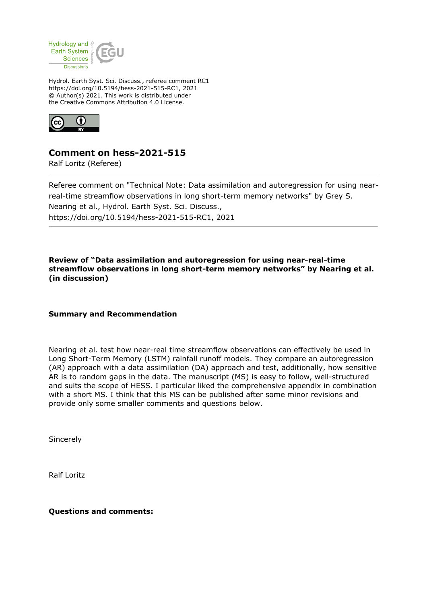

Hydrol. Earth Syst. Sci. Discuss., referee comment RC1 https://doi.org/10.5194/hess-2021-515-RC1, 2021 © Author(s) 2021. This work is distributed under the Creative Commons Attribution 4.0 License.



## **Comment on hess-2021-515**

Ralf Loritz (Referee)

Referee comment on "Technical Note: Data assimilation and autoregression for using nearreal-time streamflow observations in long short-term memory networks" by Grey S. Nearing et al., Hydrol. Earth Syst. Sci. Discuss., https://doi.org/10.5194/hess-2021-515-RC1, 2021

**Review of "Data assimilation and autoregression for using near-real-time streamflow observations in long short-term memory networks" by Nearing et al. (in discussion)**

## **Summary and Recommendation**

Nearing et al. test how near-real time streamflow observations can effectively be used in Long Short-Term Memory (LSTM) rainfall runoff models. They compare an autoregression (AR) approach with a data assimilation (DA) approach and test, additionally, how sensitive AR is to random gaps in the data. The manuscript (MS) is easy to follow, well-structured and suits the scope of HESS. I particular liked the comprehensive appendix in combination with a short MS. I think that this MS can be published after some minor revisions and provide only some smaller comments and questions below.

Sincerely

Ralf Loritz

**Questions and comments:**